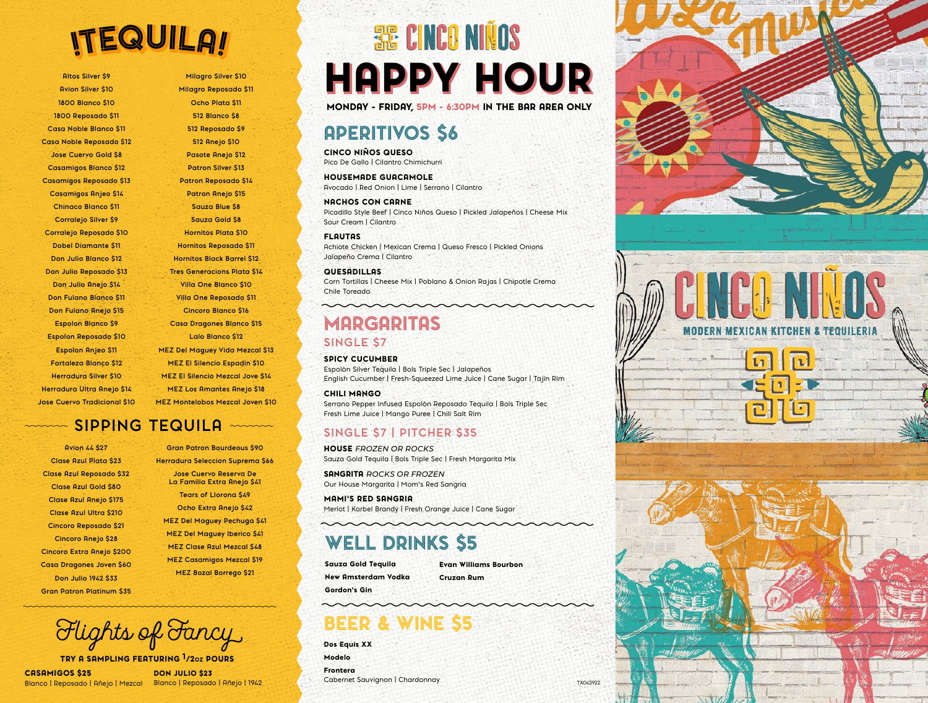# **ITEQUILA!**

**Altos Silver \$9 Avion Silver \$10 1800 Blanco \$10 1800 Reposado \$11 Casa Noble Blanco \$11 Casa Noble Reposado \$12 Jose Cuervo Gold \$8 Casamigos Blanco \$12 Casamigos Reposado \$13 Casamigos Anjeo \$14 Chinaco Blanco \$11 Corralejo Silver \$9 Corralejo Reposado \$10 Dobel Diamante \$11 Don Julio Blanco \$12 Don Julio Reposado \$13 Don Julio Anejo \$14 Don Fulano Blanco \$11 Don Fulano Anejo \$15 Espolon Blanco \$9 Espolon Reposado \$10 Espolon Anjeo \$11 Fortaleza Blanco \$12 Herradura Silver \$10 Herradura Ultra Anejo \$14 Jose Cuervo Tradicional \$10**

**Milagro Silver \$10 Milagro Reposado \$11 Ocho Plata \$11 512 Blanco \$8 512 Reposado \$9 512 Anejo \$10 Pasote Anejo \$12 Patron Silver \$13 Patron Reposado \$14 Patron Anejo \$15 Sauza Blue \$8 Sauza Gold \$8 Hornitos Plata \$10 Hornitos Reposado \$11 Hornitos Black Barrel \$12 Tres Generacions Plata \$14 Villa One Blanco \$10 Villa One Reposado \$11 Cincoro Blanco \$16 Casa Dragones Blanco \$15 Lalo Blanco \$12 MEZ Del Maguey Vida Mezcal \$13 MEZ El Silencio Espadin \$10 MEZ El Silencio Mezcal Jove \$14 MEZ Los Amantes Anejo \$18 MEZ Montelobos Mezcal Joven \$10**

### **SIPPING TEQUILA** mann

**Avion 44 \$27 Clase Azul Plata \$23 Clase Azul Reposado \$32 Clase Azul Gold \$80 Clase Azul Anejo \$175 Clase Azul Ultra \$210 Cincoro Reposado \$21 Cincoro Anejo \$28 Cincoro Extra Anejo \$200 Casa Dragones Joven \$60 Don Julio 1942 \$33 Gran Patron Platinum \$35**

**Gran Patron Bourdeous \$90 Herradura Seleccion Suprema \$66 Jose Cuervo Reserva De La Familia Extra Anejo \$41 Tears of Llorona \$49 Ocho Extra Anejo \$42 MEZ Del Maguey Pechuga \$41 MEZ Del Maguey Iberico \$41 MEZ Clase Azul Mezcal \$48 MEZ Casamigos Mezcal \$19 MEZ Bozal Borrego \$21**

Flights of Fancy

TRY A SAMPLING FEATURING 1/2oz POURS

CASAMIGOS \$25 Blanco | Reposado | Añejo | Mezcal Blanco | Reposado | Añejo | 1942

DON JULIO \$23

# **SE CINCO NIÑOS HAPPY HOUR**

#### MONDAY - FRIDAY, 5PM - 6:30PM IN THE BAR AREA ONLY

### APERITIVOS \$6

CINCO NIÑOS QUESO Pico De Gallo | Cilantro Chimichurri

### HOUSEMADE GUACAMOLE

Avocado | Red Onion | Lime | Serrano | Cilantro

### NACHOS CON CARNE

Picadillo Style Beef | Cinco Niños Queso | Pickled Jalapeños | Cheese Mix Sour Cream | Cilantro

#### FLAUTAS

Achiote Chicken | Mexican Crema | Queso Fresco | Pickled Onions Jalapeño Crema | Cilantro

#### QUESADILLAS

Corn Tortillas | Cheese Mix | Poblano & Onion Rajas | Chipotle Crema Chile Toreado

### MARGARITAS **SINGLE \$7**

SPICY CUCUMBER

Espolòn Silver Tequila | Bols Triple Sec | Jalapeños English Cucumber | Fresh-Squeezed Lime Juice | Cane Sugar | Tajín Rim CHILI MANGO

#### Serrano Pepper Infused Espolòn Reposado Tequila | Bols Triple Sec Fresh Lime Juice | Mango Puree | Chili Salt Rim

### **SINGLE \$7 | PITCHER \$35**

HOUSE *FROZEN OR ROCKS* Sauza Gold Tequila | Bols Triple Sec | Fresh Margarita Mix

SANGRITA *ROCKS OR FROZEN* Our House Margarita | Mom's Red Sangria

MAMI'S RED SANGRIA Merlot | Korbel Brandy | Fresh Orange Juice | Cane Sugar

### WELL DRINKS \$5

Sauza Gold Tequila New Amsterdam Vodka Gordon's Gin

Evan Williams Bourbon Cruzan Rum

## BEER & WINE

Dos Equis XX Modelo Frontera Cabernet Sauvignon | Chardonnay